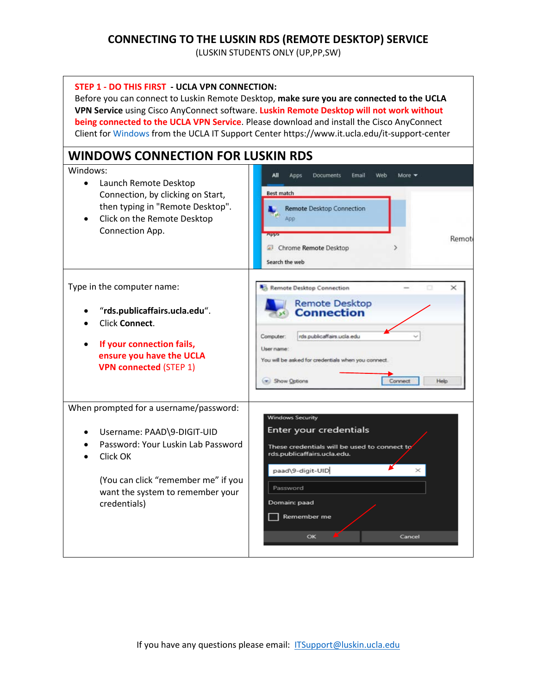## **CONNECTING TO THE LUSKIN RDS (REMOTE DESKTOP) SERVICE**

(LUSKIN STUDENTS ONLY (UP,PP,SW)

| STEP 1 - DO THIS FIRST - UCLA VPN CONNECTION:                                                                                                                                                                                      | Before you can connect to Luskin Remote Desktop, make sure you are connected to the UCLA<br>VPN Service using Cisco AnyConnect software. Luskin Remote Desktop will not work without<br>being connected to the UCLA VPN Service. Please download and install the Cisco AnyConnect<br>Client for Windows from the UCLA IT Support Center https://www.it.ucla.edu/it-support-center |
|------------------------------------------------------------------------------------------------------------------------------------------------------------------------------------------------------------------------------------|-----------------------------------------------------------------------------------------------------------------------------------------------------------------------------------------------------------------------------------------------------------------------------------------------------------------------------------------------------------------------------------|
| <b>WINDOWS CONNECTION FOR LUSKIN RDS</b><br>Windows:<br>Launch Remote Desktop<br>$\bullet$<br>Connection, by clicking on Start,<br>then typing in "Remote Desktop".<br>Click on the Remote Desktop<br>$\bullet$<br>Connection App. | Web<br>All<br>Email<br>Apps<br>Documents<br>More $\rightarrow$<br>Best match<br><b>Remote Desktop Connection</b><br>App<br>Remote<br>Chrome Remote Desktop<br>Search the web                                                                                                                                                                                                      |
| Type in the computer name:<br>"rds.publicaffairs.ucla.edu".<br><b>Click Connect.</b><br>If your connection fails,<br>$\bullet$<br>ensure you have the UCLA<br><b>VPN connected (STEP 1)</b>                                        | Remote Desktop Connection<br>×<br><b>Remote Desktop</b><br><b>Connection</b><br>rds publicaffairs ucla edu<br>Computer:<br>User name:<br>You will be asked for credentials when you connect<br>Show Options<br>Connect<br>Help                                                                                                                                                    |
| When prompted for a username/password:<br>Username: PAAD\9-DIGIT-UID<br>Password: Your Luskin Lab Password<br>Click OK<br>(You can click "remember me" if you<br>want the system to remember your<br>credentials)                  | <b>Windows Security</b><br>Enter your credentials<br>These credentials will be used to connect to<br>rds.publicaffairs.ucla.edu.<br>paad\9-digit-UID<br>Password<br>Domain: paad<br>Remember me<br>OK<br>Cancel                                                                                                                                                                   |